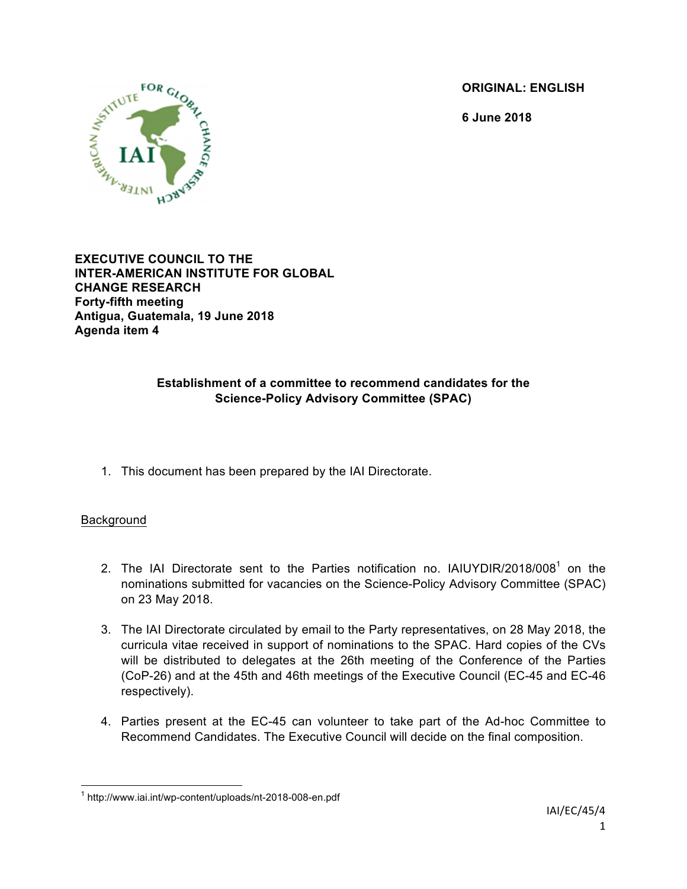**ORIGINAL: ENGLISH**

**6 June 2018**



**EXECUTIVE COUNCIL TO THE INTER-AMERICAN INSTITUTE FOR GLOBAL CHANGE RESEARCH Forty-fifth meeting Antigua, Guatemala, 19 June 2018 Agenda item 4**

# **Establishment of a committee to recommend candidates for the Science-Policy Advisory Committee (SPAC)**

1. This document has been prepared by the IAI Directorate.

## Background

- 2. The IAI Directorate sent to the Parties notification no. IAIUYDIR/2018/008<sup>1</sup> on the nominations submitted for vacancies on the Science-Policy Advisory Committee (SPAC) on 23 May 2018.
- 3. The IAI Directorate circulated by email to the Party representatives, on 28 May 2018, the curricula vitae received in support of nominations to the SPAC. Hard copies of the CVs will be distributed to delegates at the 26th meeting of the Conference of the Parties (CoP-26) and at the 45th and 46th meetings of the Executive Council (EC-45 and EC-46 respectively).
- 4. Parties present at the EC-45 can volunteer to take part of the Ad-hoc Committee to Recommend Candidates. The Executive Council will decide on the final composition.

 <sup>1</sup> http://www.iai.int/wp-content/uploads/nt-2018-008-en.pdf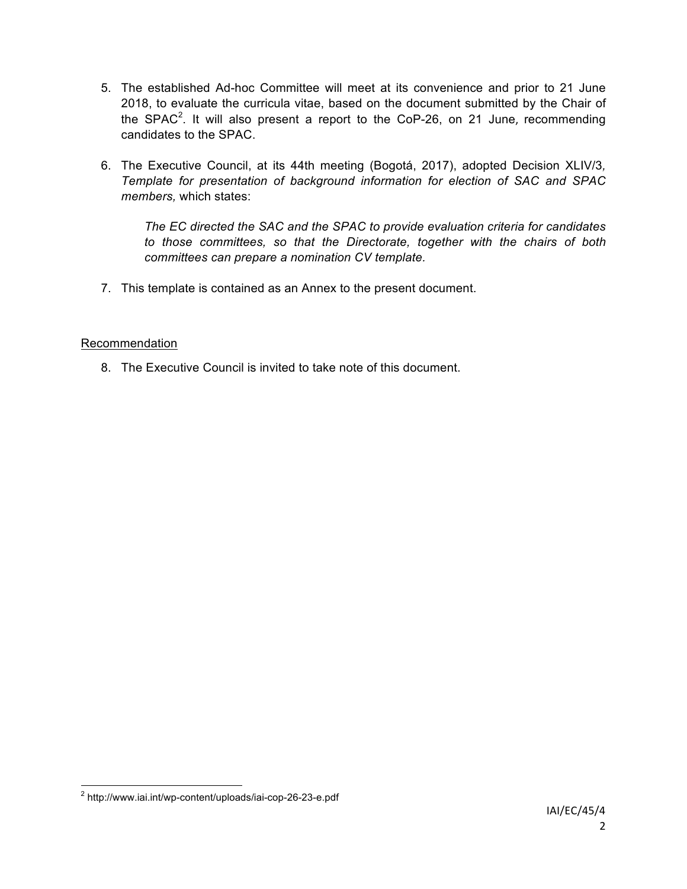- 5. The established Ad-hoc Committee will meet at its convenience and prior to 21 June 2018, to evaluate the curricula vitae, based on the document submitted by the Chair of the SPAC<sup>2</sup>. It will also present a report to the CoP-26, on 21 June, recommending candidates to the SPAC.
- 6. The Executive Council, at its 44th meeting (Bogotá, 2017), adopted Decision XLIV/3*, Template for presentation of background information for election of SAC and SPAC members,* which states:

*The EC directed the SAC and the SPAC to provide evaluation criteria for candidates to those committees, so that the Directorate, together with the chairs of both committees can prepare a nomination CV template.*

7. This template is contained as an Annex to the present document.

## Recommendation

8. The Executive Council is invited to take note of this document.

 <sup>2</sup> http://www.iai.int/wp-content/uploads/iai-cop-26-23-e.pdf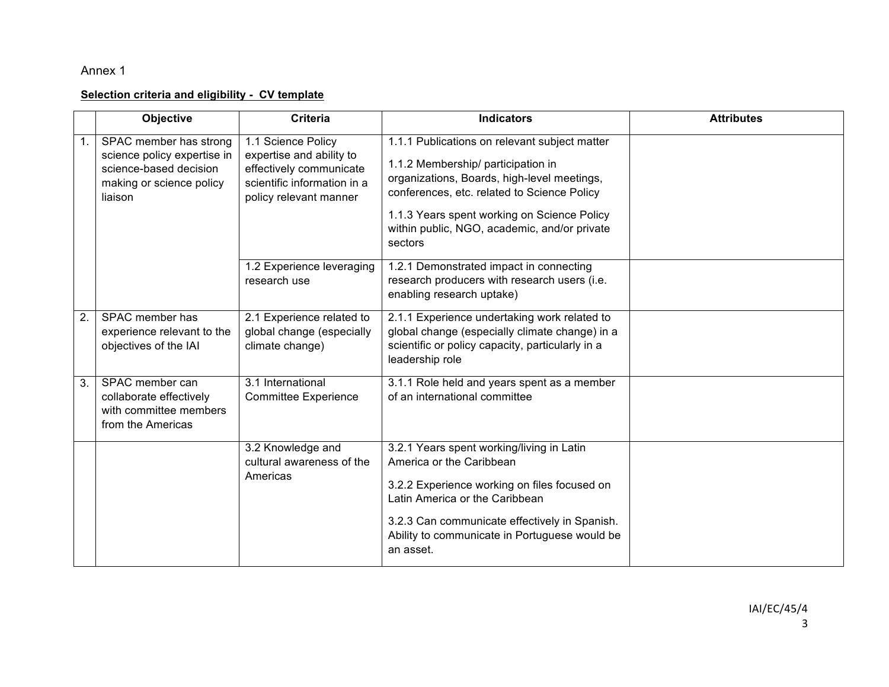# Annex 1

#### **Selection criteria and eligibility - CV template**

|    | Objective                                                                                                              | <b>Criteria</b>                                                                                                                    | <b>Indicators</b>                                                                                                                                                                                                                                                                           | <b>Attributes</b> |
|----|------------------------------------------------------------------------------------------------------------------------|------------------------------------------------------------------------------------------------------------------------------------|---------------------------------------------------------------------------------------------------------------------------------------------------------------------------------------------------------------------------------------------------------------------------------------------|-------------------|
|    | SPAC member has strong<br>science policy expertise in<br>science-based decision<br>making or science policy<br>liaison | 1.1 Science Policy<br>expertise and ability to<br>effectively communicate<br>scientific information in a<br>policy relevant manner | 1.1.1 Publications on relevant subject matter<br>1.1.2 Membership/ participation in<br>organizations, Boards, high-level meetings,<br>conferences, etc. related to Science Policy<br>1.1.3 Years spent working on Science Policy<br>within public, NGO, academic, and/or private<br>sectors |                   |
|    |                                                                                                                        | 1.2 Experience leveraging<br>research use                                                                                          | 1.2.1 Demonstrated impact in connecting<br>research producers with research users (i.e.<br>enabling research uptake)                                                                                                                                                                        |                   |
| 2. | SPAC member has<br>experience relevant to the<br>objectives of the IAI                                                 | 2.1 Experience related to<br>global change (especially<br>climate change)                                                          | 2.1.1 Experience undertaking work related to<br>global change (especially climate change) in a<br>scientific or policy capacity, particularly in a<br>leadership role                                                                                                                       |                   |
| 3. | SPAC member can<br>collaborate effectively<br>with committee members<br>from the Americas                              | 3.1 International<br><b>Committee Experience</b>                                                                                   | 3.1.1 Role held and years spent as a member<br>of an international committee                                                                                                                                                                                                                |                   |
|    |                                                                                                                        | 3.2 Knowledge and<br>cultural awareness of the<br>Americas                                                                         | 3.2.1 Years spent working/living in Latin<br>America or the Caribbean<br>3.2.2 Experience working on files focused on<br>Latin America or the Caribbean<br>3.2.3 Can communicate effectively in Spanish.<br>Ability to communicate in Portuguese would be<br>an asset.                      |                   |